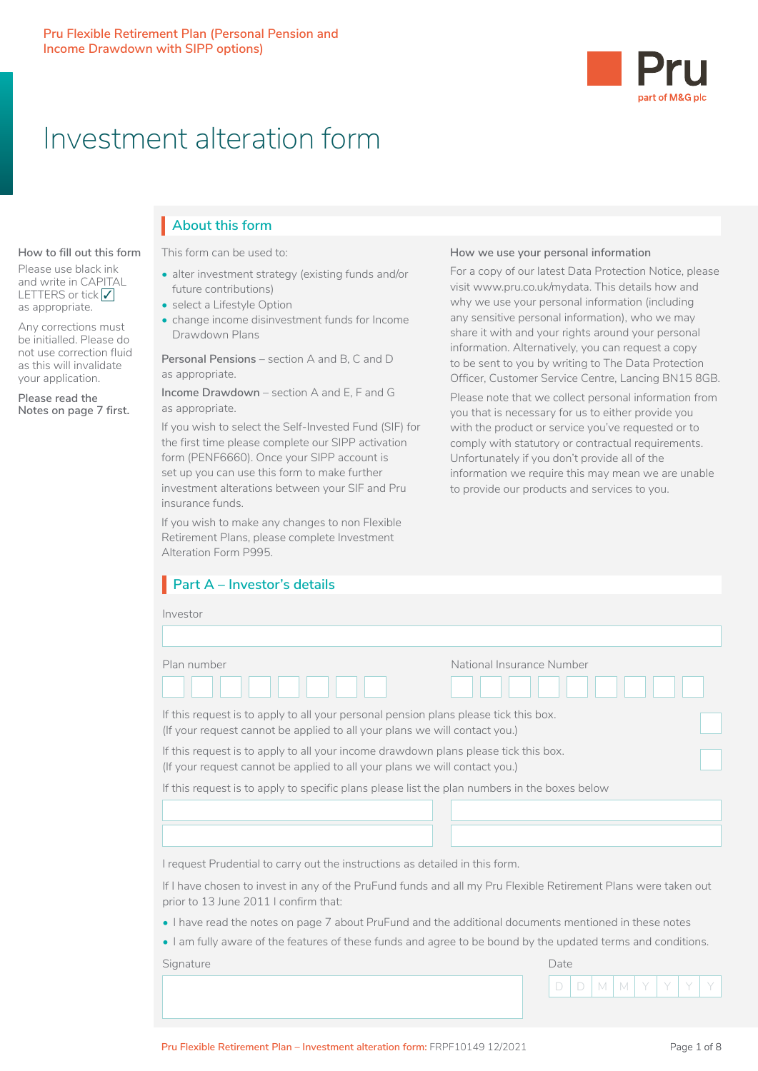

How we use your personal information

For a copy of our latest Data Protection Notice, please

why we use your personal information (including any sensitive personal information), who we may

share it with and your rights around your personal information. Alternatively, you can request a copy to be sent to you by writing to The Data Protection

Please note that we collect personal information from you that is necessary for us to either provide you with the product or service you've requested or to comply with statutory or contractual requirements. Unfortunately if you don't provide all of the

information we require this may mean we are unable

to provide our products and services to you.

visit www.pru.co.uk/mydata. This details how and

# Investment alteration form

# **About this form About this form** I

**How to fill out this form** Please use black ink and write in CAPITAL LETTERS or tick  $\sqrt{}$ 

as appropriate.

Any corrections must be initialled. Please do not use correction fluid as this will invalidate your application.

**Please read the Notes on page 7 first.** This form can be used to: This form can be used to:

- alter investment strategy (existing funds and/or future contributions)
- select a Lifestyle Option
- select a Enestyle Option<br>• change income disinvestment funds for Income Drawdown Plans

Personal Pensions – section A and B, C and D as appropriate. The risks, benefits, benefits, benefits, benefits, costs and the product and the funds to the f as appropriate.

**Income Drawdown** – section A and E, F and G Please note as appropriate.

If you wish to select the Self-Invested Fund (SIF) for the first time please complete our SIPP activation form (PENF6660). Once your SIPP account is set up you can use this form to make further investment alterations between your SIF and Pru insurance funds.

If you wish to make any changes to non Flexible Retirement Plans, please complete Investment Alteration Form P995.

# **Part A – Investor's details**

#### Investor

| Plan number                                                                                                                                                        | National Insurance Number |
|--------------------------------------------------------------------------------------------------------------------------------------------------------------------|---------------------------|
|                                                                                                                                                                    |                           |
| If this request is to apply to all your personal pension plans please tick this box.<br>(If your request cannot be applied to all your plans we will contact you.) |                           |

If this request is to apply to all your income drawdown plans please tick this box. (If your request cannot be applied to all your plans we will contact you.)

If this request is to apply to specific plans please list the plan numbers in the boxes below

I request Prudential to carry out the instructions as detailed in this form.

If I have chosen to invest in any of the PruFund funds and all my Pru Flexible Retirement Plans were taken out prior to 13 June 2011 I confirm that:

 $\overline{\phantom{a}}$ 

- I have read the notes on page 7 about PruFund and the additional documents mentioned in these notes
- I am fully aware of the features of these funds and agree to be bound by the updated terms and conditions.

Signature Date Date of the Contract of the Contract of the Contract of the Date Date Date

□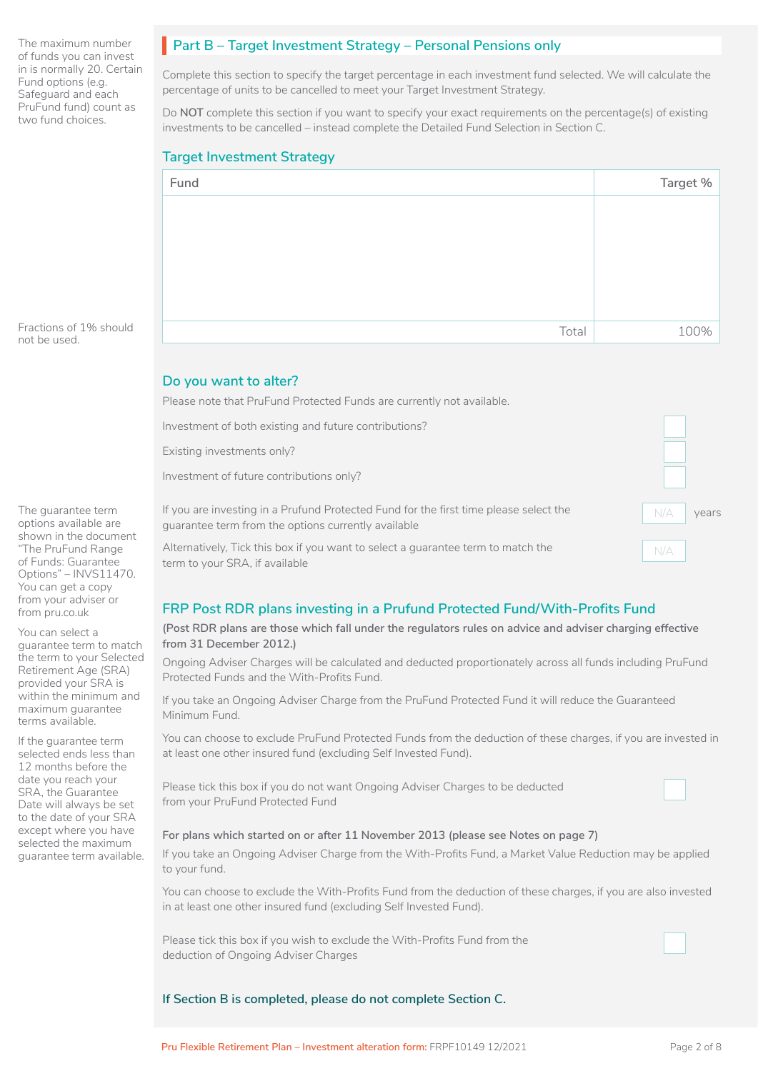The maximum number of funds you can invest in is normally 20. Certain Fund options (e.g. Safeguard and each PruFund fund) count as two fund choices.

# Part B – Target Investment Strategy – Personal Pensions only

Complete this section to specify the target percentage in each investment fund selected. We will calculate the percentage of units to be cancelled to meet your Target Investment Strategy.

Do **NOT** complete this section if you want to specify your exact requirements on the percentage(s) of existing investments to be cancelled – instead complete the Detailed Fund Selection in Section C.

### **Target Investment Strategy**

| Fund  | Target % |
|-------|----------|
|       |          |
|       |          |
|       |          |
|       |          |
|       |          |
|       |          |
| Total | 100%     |

Fractions of 1% should not be used.

The guarantee term options available are shown in the document "The PruFund Range of Funds: Guarantee Options" – INVS11470. You can get a copy from your adviser or from pru.co.uk

You can select a guarantee term to match the term to your Selected Retirement Age (SRA) provided your SRA is within the minimum and maximum guarantee terms available.

If the guarantee term selected ends less than 12 months before the date you reach your SRA, the Guarantee Date will always be set to the date of your SRA except where you have selected the maximum guarantee term available.

### **Do you want to alter?**

Please note that PruFund Protected Funds are currently not available.

Investment of both existing and future contributions?

Existing investments only?

Investment of future contributions only?

If you are investing in a Prufund Protected Fund for the first time please select the guarantee term from the options currently available

Alternatively, Tick this box if you want to select a guarantee term to match the term to your SRA, if available

### **FRP Post RDR plans investing in a Prufund Protected Fund/With-Profits Fund**

#### **(Post RDR plans are those which fall under the regulators rules on advice and adviser charging effective from 31 December 2012.)**

Ongoing Adviser Charges will be calculated and deducted proportionately across all funds including PruFund Protected Funds and the With-Profits Fund.

If you take an Ongoing Adviser Charge from the PruFund Protected Fund it will reduce the Guaranteed Minimum Fund.

You can choose to exclude PruFund Protected Funds from the deduction of these charges, if you are invested in at least one other insured fund (excluding Self Invested Fund).

Please tick this box if you do not want Ongoing Adviser Charges to be deducted from your PruFund Protected Fund

#### **For plans which started on or after 11 November 2013 (please see Notes on page 7)**

If you take an Ongoing Adviser Charge from the With-Profits Fund, a Market Value Reduction may be applied to your fund.

You can choose to exclude the With-Profits Fund from the deduction of these charges, if you are also invested in at least one other insured fund (excluding Self Invested Fund).

Please tick this box if you wish to exclude the With-Profits Fund from the deduction of Ongoing Adviser Charges

#### **If Section B is completed, please do not complete Section C.**

 $\Box$ 

 $\Box$ 

years

 $\vert$ 

 $\Box$  $\Box$ 

 $N/A$ 

 $N/A$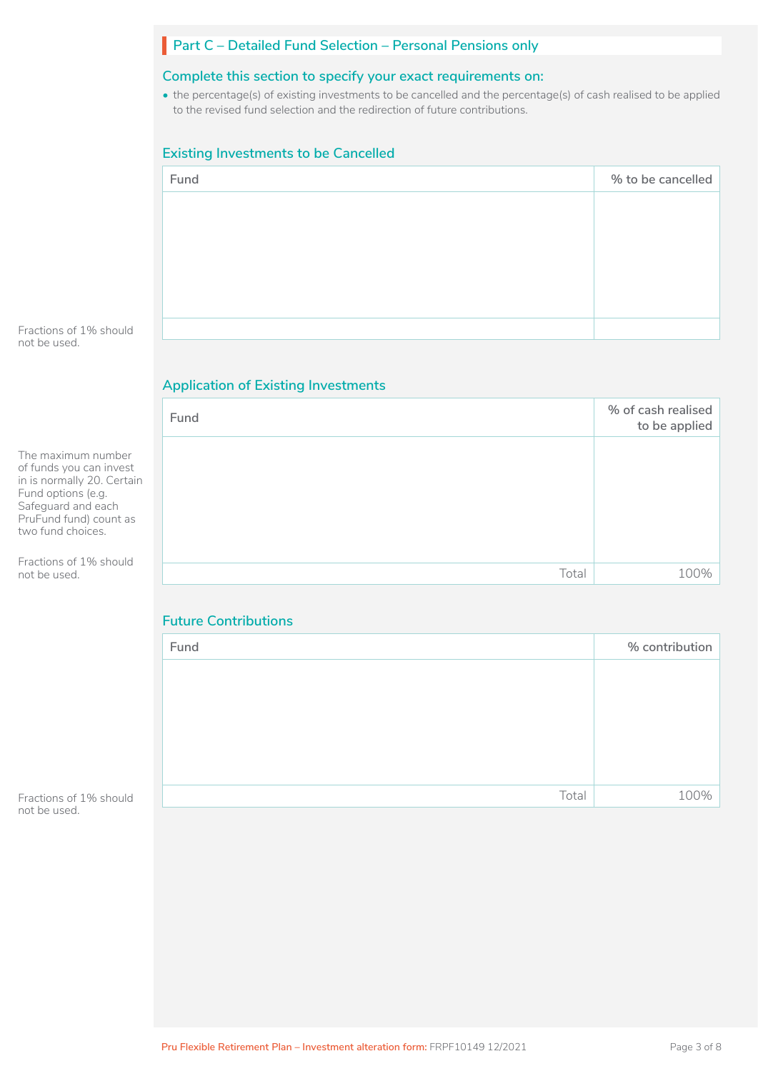# **Part C – Detailed Fund Selection – Personal Pensions only**

### **Complete this section to specify your exact requirements on:**

• the percentage(s) of existing investments to be cancelled and the percentage(s) of cash realised to be applied to the revised fund selection and the redirection of future contributions.

# **Existing Investments to be Cancelled**

| % to be cancelled<br>Fund |  |
|---------------------------|--|
|                           |  |
|                           |  |
|                           |  |
|                           |  |
|                           |  |
|                           |  |

Fractions of 1% should not be used.

# **Application of Existing Investments**

|                                                                                                                                                                        | Fund  | % of cash realised<br>to be applied |
|------------------------------------------------------------------------------------------------------------------------------------------------------------------------|-------|-------------------------------------|
| The maximum number<br>of funds you can invest<br>in is normally 20. Certain<br>Fund options (e.g.<br>Safeguard and each<br>PruFund fund) count as<br>two fund choices. |       |                                     |
| Fractions of 1% should                                                                                                                                                 |       |                                     |
| not be used.                                                                                                                                                           | Total | 100%                                |

# **Future Contributions**

| Fund  | % contribution |
|-------|----------------|
|       |                |
|       |                |
|       |                |
|       |                |
|       |                |
| Total | 100%           |

Fractions of 1% should not be used.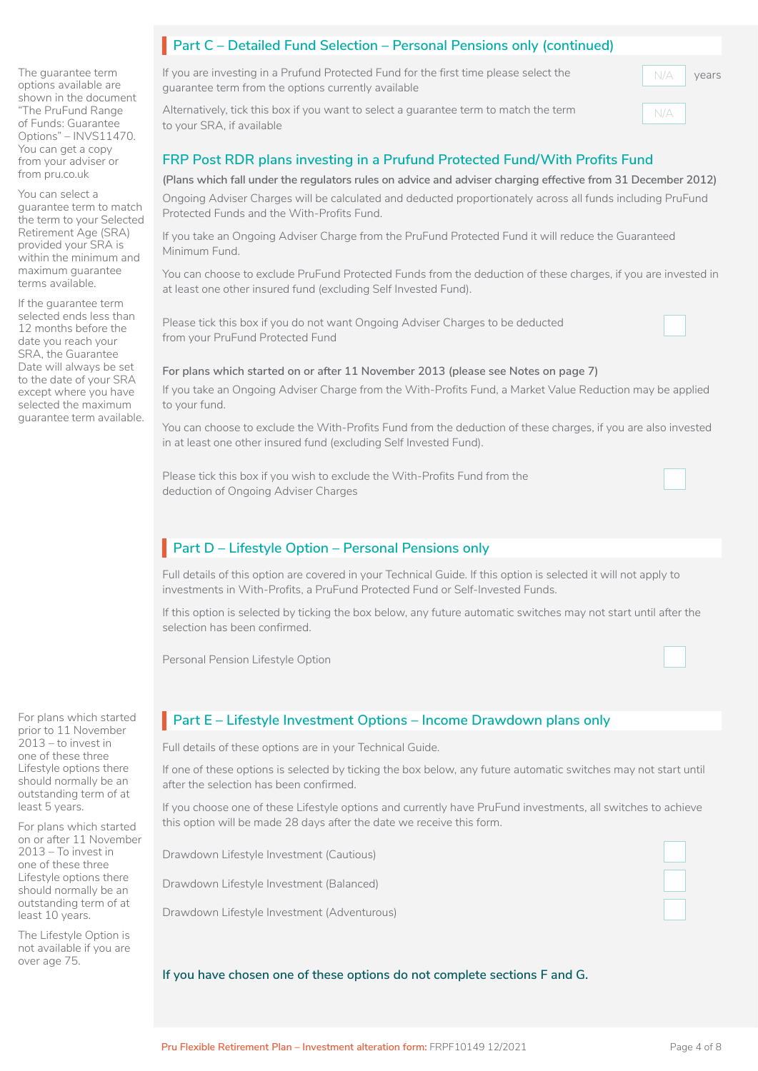The guarantee term options available are shown in the document "The PruFund Range of Funds: Guarantee Options" – INVS11470. You can get a copy from your adviser or from pru.co.uk

You can select a guarantee term to match the term to your Selected Retirement Age (SRA) provided your SRA is within the minimum and maximum guarantee terms available.

If the guarantee term selected ends less than 12 months before the date you reach your SRA, the Guarantee Date will always be set to the date of your SRA except where you have selected the maximum guarantee term available.

For plans which started prior to 11 November 2013 – to invest in one of these three Lifestyle options there should normally be an outstanding term of at least 5 years.

For plans which started on or after 11 November 2013 – To invest in one of these three Lifestyle options there should normally be an outstanding term of at least 10 years.

The Lifestyle Option is not available if you are over age 75.

# **Part C** – Detailed Fund Selection – Personal Pensions only (continued)

If you are investing in a Prufund Protected Fund for the first time please select the guarantee term from the options currently available

Alternatively, tick this box if you want to select a guarantee term to match the term to your SRA, if available

## **FRP Post RDR plans investing in a Prufund Protected Fund/With Profits Fund**

#### **(Plans which fall under the regulators rules on advice and adviser charging effective from 31 December 2012)**

Ongoing Adviser Charges will be calculated and deducted proportionately across all funds including PruFund Protected Funds and the With-Profits Fund.

If you take an Ongoing Adviser Charge from the PruFund Protected Fund it will reduce the Guaranteed Minimum Fund.

You can choose to exclude PruFund Protected Funds from the deduction of these charges, if you are invested in at least one other insured fund (excluding Self Invested Fund).

Please tick this box if you do not want Ongoing Adviser Charges to be deducted from your PruFund Protected Fund

# $\Box$

years

 $N/A$ 

 $N/A$ 

#### **For plans which started on or after 11 November 2013 (please see Notes on page 7)**

If you take an Ongoing Adviser Charge from the With-Profits Fund, a Market Value Reduction may be applied to your fund.

You can choose to exclude the With-Profits Fund from the deduction of these charges, if you are also invested in at least one other insured fund (excluding Self Invested Fund).

Please tick this box if you wish to exclude the With-Profits Fund from the deduction of Ongoing Adviser Charges

# Part D – Lifestyle Option – Personal Pensions only

Full details of this option are covered in your Technical Guide. If this option is selected it will not apply to investments in With-Profits, a PruFund Protected Fund or Self-Invested Funds.

If this option is selected by ticking the box below, any future automatic switches may not start until after the selection has been confirmed.

Personal Pension Lifestyle Option

# **Part E – Lifestyle Investment Options – Income Drawdown plans only**

Full details of these options are in your Technical Guide.

If one of these options is selected by ticking the box below, any future automatic switches may not start until after the selection has been confirmed.

If you choose one of these Lifestyle options and currently have PruFund investments, all switches to achieve this option will be made 28 days after the date we receive this form.

Drawdown Lifestyle Investment (Cautious)

Drawdown Lifestyle Investment (Balanced)

Drawdown Lifestyle Investment (Adventurous)

 $\Box$ 

#### **If you have chosen one of these options do not complete sections F and G.**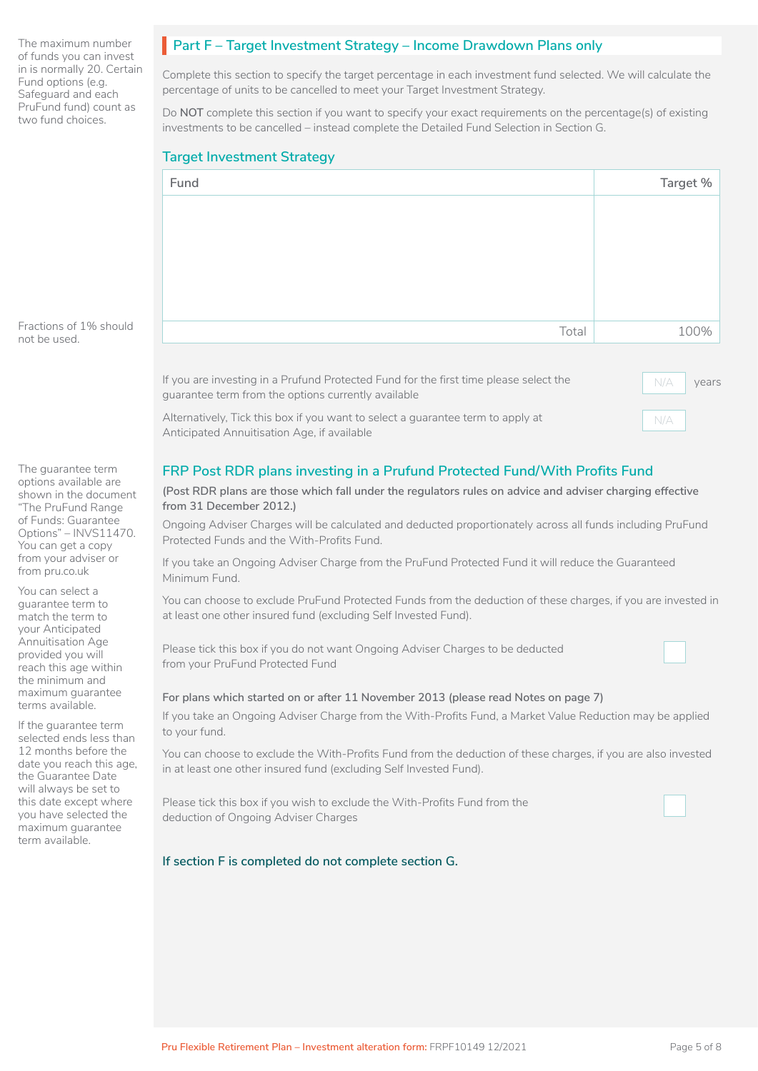The maximum number of funds you can invest in is normally 20. Certain Fund options (e.g. Safeguard and each PruFund fund) count as two fund choices.

# **Part F – Target Investment Strategy – Income Drawdown Plans only**

Complete this section to specify the target percentage in each investment fund selected. We will calculate the percentage of units to be cancelled to meet your Target Investment Strategy.

Do **NOT** complete this section if you want to specify your exact requirements on the percentage(s) of existing investments to be cancelled – instead complete the Detailed Fund Selection in Section G.

## **Target Investment Strategy**

| Fund  | Target % |
|-------|----------|
|       |          |
|       |          |
|       |          |
|       |          |
|       |          |
| Total | 100%     |

Fractions of 1% should not be used.

The guarantee term options available are shown in the document "The PruFund Range of Funds: Guarantee Options" – INVS11470. You can get a copy from your adviser or from pru.co.uk

You can select a guarantee term to match the term to your Anticipated Annuitisation Age provided you will reach this age within the minimum and maximum guarantee terms available.

If the guarantee term selected ends less than 12 months before the date you reach this age, the Guarantee Date will always be set to this date except where you have selected the maximum guarantee term available.

guarantee term from the options currently available Alternatively, Tick this box if you want to select a guarantee term to apply at

If you are investing in a Prufund Protected Fund for the first time please select the

Anticipated Annuitisation Age, if available

# **FRP Post RDR plans investing in a Prufund Protected Fund/With Profits Fund**

#### **(Post RDR plans are those which fall under the regulators rules on advice and adviser charging effective from 31 December 2012.)**

Ongoing Adviser Charges will be calculated and deducted proportionately across all funds including PruFund Protected Funds and the With-Profits Fund.

If you take an Ongoing Adviser Charge from the PruFund Protected Fund it will reduce the Guaranteed Minimum Fund.

You can choose to exclude PruFund Protected Funds from the deduction of these charges, if you are invested in at least one other insured fund (excluding Self Invested Fund).

Please tick this box if you do not want Ongoing Adviser Charges to be deducted from your PruFund Protected Fund

#### **For plans which started on or after 11 November 2013 (please read Notes on page 7)**

If you take an Ongoing Adviser Charge from the With-Profits Fund, a Market Value Reduction may be applied to your fund.

You can choose to exclude the With-Profits Fund from the deduction of these charges, if you are also invested in at least one other insured fund (excluding Self Invested Fund).

Please tick this box if you wish to exclude the With-Profits Fund from the deduction of Ongoing Adviser Charges

#### **If section F is completed do not complete section G.**

years

 $N/A$ 

 $N/A$ 

- I

 $\Box$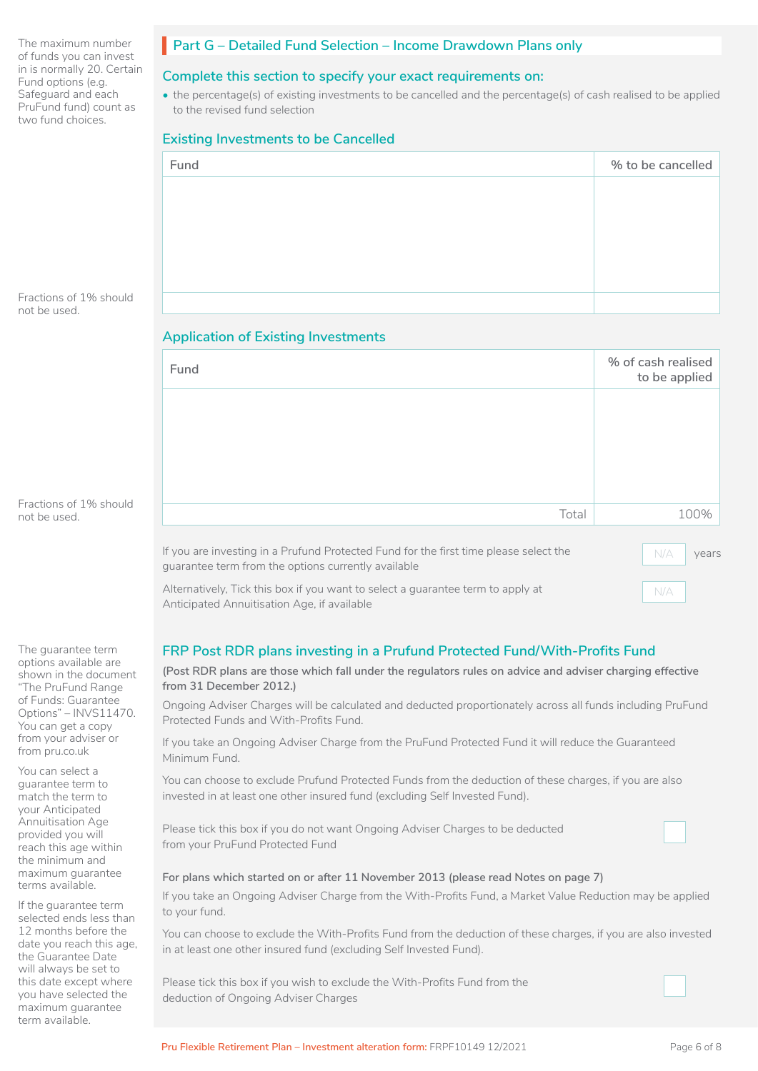The maximum number of funds you can invest in is normally 20. Certain Fund options (e.g. Safeguard and each PruFund fund) count as two fund choices.

### **Part G – Detailed Fund Selection – Income Drawdown Plans only**

### **Complete this section to specify your exact requirements on:**

• the percentage(s) of existing investments to be cancelled and the percentage(s) of cash realised to be applied to the revised fund selection

#### **Existing Investments to be Cancelled**

| Fund | % to be cancelled |
|------|-------------------|
|      |                   |
|      |                   |
|      |                   |
|      |                   |
|      |                   |

Fractions of 1% should not be used.

#### **Application of Existing Investments**

| Fund                                                                                                                                         | % of cash realised<br>to be applied |
|----------------------------------------------------------------------------------------------------------------------------------------------|-------------------------------------|
|                                                                                                                                              |                                     |
|                                                                                                                                              |                                     |
|                                                                                                                                              |                                     |
|                                                                                                                                              |                                     |
|                                                                                                                                              |                                     |
| Total                                                                                                                                        | 100%                                |
|                                                                                                                                              |                                     |
| If you are investing in a Prufund Protected Fund for the first time please select the<br>guarantee term from the options currently available | N/A<br>years                        |
| Alternatively, Tick this box if you want to select a guarantee term to apply at<br>Anticipated Annuitisation Age, if available               | N/A                                 |

Anticipated Annuitisation Age, if available

# **FRP Post RDR plans investing in a Prufund Protected Fund/With-Profits Fund**

### **(Post RDR plans are those which fall under the regulators rules on advice and adviser charging effective from 31 December 2012.)**

Ongoing Adviser Charges will be calculated and deducted proportionately across all funds including PruFund Protected Funds and With-Profits Fund.

If you take an Ongoing Adviser Charge from the PruFund Protected Fund it will reduce the Guaranteed Minimum Fund.

You can choose to exclude Prufund Protected Funds from the deduction of these charges, if you are also invested in at least one other insured fund (excluding Self Invested Fund).

Please tick this box if you do not want Ongoing Adviser Charges to be deducted from your PruFund Protected Fund

#### **For plans which started on or after 11 November 2013 (please read Notes on page 7)**

If you take an Ongoing Adviser Charge from the With-Profits Fund, a Market Value Reduction may be applied to your fund.

You can choose to exclude the With-Profits Fund from the deduction of these charges, if you are also invested in at least one other insured fund (excluding Self Invested Fund).

Please tick this box if you wish to exclude the With-Profits Fund from the deduction of Ongoing Adviser Charges

Fractions of 1% should not be used.

The guarantee term options available are shown in the document "The PruFund Range of Funds: Guarantee Options" – INVS11470. You can get a copy from your adviser or from pru.co.uk

You can select a guarantee term to match the term to your Anticipated Annuitisation Age provided you will reach this age within the minimum and maximum guarantee terms available.

If the guarantee term selected ends less than 12 months before the date you reach this age, the Guarantee Date will always be set to this date except where you have selected the maximum guarantee term available.

 $\Box$ 

 $\Box$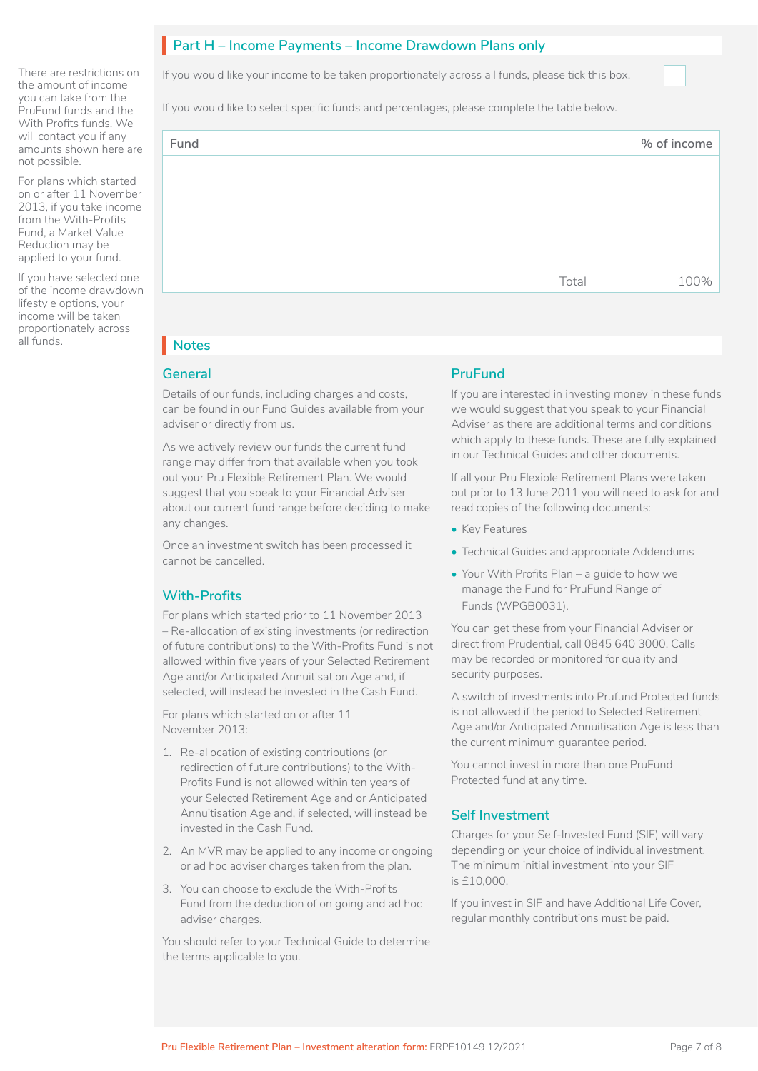# Part H – Income Payments – Income Drawdown Plans only

If you would like your income to be taken proportionately across all funds, please tick this box.

If you would like to select specific funds and percentages, please complete the table below.

| Fund |       | % of income |
|------|-------|-------------|
|      |       |             |
|      |       |             |
|      |       |             |
|      |       |             |
|      | Total | 100%        |

# **Notes** I

There are restrictions on the amount of income you can take from the PruFund funds and the With Profits funds. We will contact you if any amounts shown here are

For plans which started on or after 11 November 2013, if you take income from the With-Profits Fund, a Market Value Reduction may be applied to your fund. If you have selected one of the income drawdown lifestyle options, your income will be taken proportionately across

not possible.

all funds.

#### **General**

Details of our funds, including charges and costs, can be found in our Fund Guides available from your adviser or directly from us.

As we actively review our funds the current fund range may differ from that available when you took out your Pru Flexible Retirement Plan. We would suggest that you speak to your Financial Adviser about our current fund range before deciding to make any changes.

Once an investment switch has been processed it cannot be cancelled.

# **With-Profits**

For plans which started prior to 11 November 2013 – Re-allocation of existing investments (or redirection of future contributions) to the With-Profits Fund is not allowed within five years of your Selected Retirement Age and/or Anticipated Annuitisation Age and, if selected, will instead be invested in the Cash Fund.

For plans which started on or after 11 November 2013:

- 1. Re-allocation of existing contributions (or redirection of future contributions) to the With-Profits Fund is not allowed within ten years of your Selected Retirement Age and or Anticipated Annuitisation Age and, if selected, will instead be invested in the Cash Fund.
- 2. An MVR may be applied to any income or ongoing or ad hoc adviser charges taken from the plan.
- 3. You can choose to exclude the With-Profits Fund from the deduction of on going and ad hoc adviser charges.

You should refer to your Technical Guide to determine the terms applicable to you.

### **PruFund**

If you are interested in investing money in these funds we would suggest that you speak to your Financial Adviser as there are additional terms and conditions which apply to these funds. These are fully explained in our Technical Guides and other documents.

If all your Pru Flexible Retirement Plans were taken out prior to 13 June 2011 you will need to ask for and read copies of the following documents:

- Key Features
- Technical Guides and appropriate Addendums
- Your With Profits Plan a guide to how we manage the Fund for PruFund Range of Funds (WPGB0031).

You can get these from your Financial Adviser or direct from Prudential, call 0845 640 3000. Calls may be recorded or monitored for quality and security purposes.

A switch of investments into Prufund Protected funds is not allowed if the period to Selected Retirement Age and/or Anticipated Annuitisation Age is less than the current minimum guarantee period.

You cannot invest in more than one PruFund Protected fund at any time.

### **Self Investment**

Charges for your Self-Invested Fund (SIF) will vary depending on your choice of individual investment. The minimum initial investment into your SIF is £10,000.

If you invest in SIF and have Additional Life Cover, regular monthly contributions must be paid.